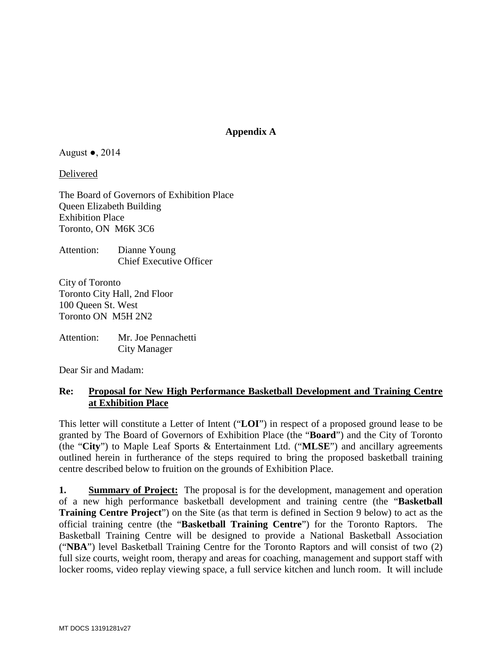## **Appendix A**

#### August  $\bullet$ , 2014

Delivered

The Board of Governors of Exhibition Place Queen Elizabeth Building Exhibition Place Toronto, ON M6K 3C6

Attention: Dianne Young Chief Executive Officer

City of Toronto Toronto City Hall, 2nd Floor 100 Queen St. West Toronto ON M5H 2N2

Attention: Mr. Joe Pennachetti City Manager

Dear Sir and Madam:

## **Re: Proposal for New High Performance Basketball Development and Training Centre at Exhibition Place**

This letter will constitute a Letter of Intent ("**LOI**") in respect of a proposed ground lease to be granted by The Board of Governors of Exhibition Place (the "**Board**") and the City of Toronto (the "**City**") to Maple Leaf Sports & Entertainment Ltd. ("**MLSE**") and ancillary agreements outlined herein in furtherance of the steps required to bring the proposed basketball training centre described below to fruition on the grounds of Exhibition Place.

**1. Summary of Project:** The proposal is for the development, management and operation of a new high performance basketball development and training centre (the "**Basketball Training Centre Project**") on the Site (as that term is defined in Section [9](#page-4-0) below) to act as the official training centre (the "**Basketball Training Centre**") for the Toronto Raptors. The Basketball Training Centre will be designed to provide a National Basketball Association ("**NBA**") level Basketball Training Centre for the Toronto Raptors and will consist of two (2) full size courts, weight room, therapy and areas for coaching, management and support staff with locker rooms, video replay viewing space, a full service kitchen and lunch room. It will include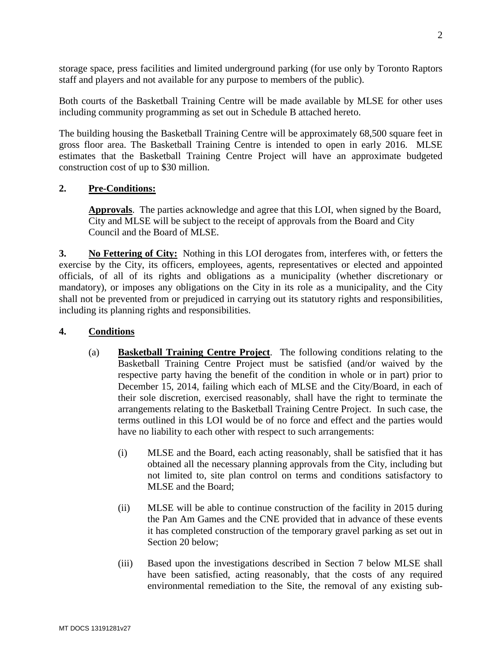storage space, press facilities and limited underground parking (for use only by Toronto Raptors staff and players and not available for any purpose to members of the public).

Both courts of the Basketball Training Centre will be made available by MLSE for other uses including community programming as set out in [Schedule B](#page-16-0) attached hereto.

The building housing the Basketball Training Centre will be approximately 68,500 square feet in gross floor area. The Basketball Training Centre is intended to open in early 2016. MLSE estimates that the Basketball Training Centre Project will have an approximate budgeted construction cost of up to \$30 million.

## **2. Pre-Conditions:**

**Approvals**. The parties acknowledge and agree that this LOI, when signed by the Board, City and MLSE will be subject to the receipt of approvals from the Board and City Council and the Board of MLSE.

<span id="page-1-0"></span>**3. No Fettering of City:** Nothing in this LOI derogates from, interferes with, or fetters the exercise by the City, its officers, employees, agents, representatives or elected and appointed officials, of all of its rights and obligations as a municipality (whether discretionary or mandatory), or imposes any obligations on the City in its role as a municipality, and the City shall not be prevented from or prejudiced in carrying out its statutory rights and responsibilities, including its planning rights and responsibilities.

### <span id="page-1-1"></span>**4. Conditions**

- (a) **Basketball Training Centre Project**. The following conditions relating to the Basketball Training Centre Project must be satisfied (and/or waived by the respective party having the benefit of the condition in whole or in part) prior to December 15, 2014, failing which each of MLSE and the City/Board, in each of their sole discretion, exercised reasonably, shall have the right to terminate the arrangements relating to the Basketball Training Centre Project. In such case, the terms outlined in this LOI would be of no force and effect and the parties would have no liability to each other with respect to such arrangements:
	- (i) MLSE and the Board, each acting reasonably, shall be satisfied that it has obtained all the necessary planning approvals from the City, including but not limited to, site plan control on terms and conditions satisfactory to MLSE and the Board;
	- (ii) MLSE will be able to continue construction of the facility in 2015 during the Pan Am Games and the CNE provided that in advance of these events it has completed construction of the temporary gravel parking as set out in Section 20 below;
	- (iii) Based upon the investigations described in Section [7](#page-3-0) below MLSE shall have been satisfied, acting reasonably, that the costs of any required environmental remediation to the Site, the removal of any existing sub-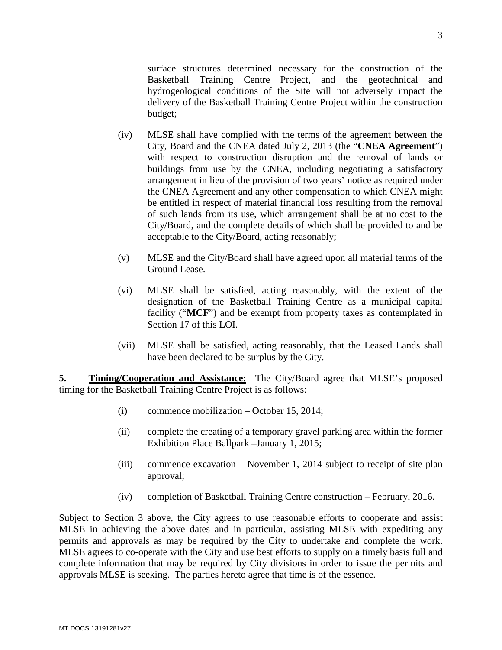surface structures determined necessary for the construction of the Basketball Training Centre Project, and the geotechnical and hydrogeological conditions of the Site will not adversely impact the delivery of the Basketball Training Centre Project within the construction budget;

- (iv) MLSE shall have complied with the terms of the agreement between the City, Board and the CNEA dated July 2, 2013 (the "**CNEA Agreement**") with respect to construction disruption and the removal of lands or buildings from use by the CNEA, including negotiating a satisfactory arrangement in lieu of the provision of two years' notice as required under the CNEA Agreement and any other compensation to which CNEA might be entitled in respect of material financial loss resulting from the removal of such lands from its use, which arrangement shall be at no cost to the City/Board, and the complete details of which shall be provided to and be acceptable to the City/Board, acting reasonably;
- (v) MLSE and the City/Board shall have agreed upon all material terms of the Ground Lease.
- (vi) MLSE shall be satisfied, acting reasonably, with the extent of the designation of the Basketball Training Centre as a municipal capital facility ("**MCF**") and be exempt from property taxes as contemplated in Section 17 of this LOI.
- (vii) MLSE shall be satisfied, acting reasonably, that the Leased Lands shall have been declared to be surplus by the City.

<span id="page-2-0"></span>**5. Timing/Cooperation and Assistance:** The City/Board agree that MLSE's proposed timing for the Basketball Training Centre Project is as follows:

- (i) commence mobilization October 15, 2014;
- (ii) complete the creating of a temporary gravel parking area within the former Exhibition Place Ballpark –January 1, 2015;
- (iii) commence excavation November 1, 2014 subject to receipt of site plan approval;
- (iv) completion of Basketball Training Centre construction February, 2016.

Subject to Section [3](#page-1-0) above, the City agrees to use reasonable efforts to cooperate and assist MLSE in achieving the above dates and in particular, assisting MLSE with expediting any permits and approvals as may be required by the City to undertake and complete the work. MLSE agrees to co-operate with the City and use best efforts to supply on a timely basis full and complete information that may be required by City divisions in order to issue the permits and approvals MLSE is seeking. The parties hereto agree that time is of the essence.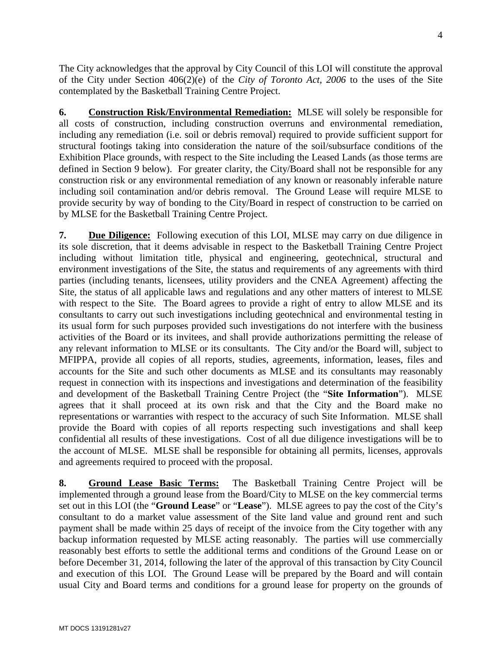The City acknowledges that the approval by City Council of this LOI will constitute the approval of the City under Section 406(2)(e) of the *City of Toronto Act, 2006* to the uses of the Site contemplated by the Basketball Training Centre Project.

**6. Construction Risk/Environmental Remediation:** MLSE will solely be responsible for all costs of construction, including construction overruns and environmental remediation, including any remediation (i.e. soil or debris removal) required to provide sufficient support for structural footings taking into consideration the nature of the soil/subsurface conditions of the Exhibition Place grounds, with respect to the Site including the Leased Lands (as those terms are defined in Section [9](#page-4-0) below). For greater clarity, the City/Board shall not be responsible for any construction risk or any environmental remediation of any known or reasonably inferable nature including soil contamination and/or debris removal. The Ground Lease will require MLSE to provide security by way of bonding to the City/Board in respect of construction to be carried on by MLSE for the Basketball Training Centre Project.

<span id="page-3-0"></span>**7. Due Diligence:** Following execution of this LOI, MLSE may carry on due diligence in its sole discretion, that it deems advisable in respect to the Basketball Training Centre Project including without limitation title, physical and engineering, geotechnical, structural and environment investigations of the Site, the status and requirements of any agreements with third parties (including tenants, licensees, utility providers and the CNEA Agreement) affecting the Site, the status of all applicable laws and regulations and any other matters of interest to MLSE with respect to the Site. The Board agrees to provide a right of entry to allow MLSE and its consultants to carry out such investigations including geotechnical and environmental testing in its usual form for such purposes provided such investigations do not interfere with the business activities of the Board or its invitees, and shall provide authorizations permitting the release of any relevant information to MLSE or its consultants. The City and/or the Board will, subject to MFIPPA, provide all copies of all reports, studies, agreements, information, leases, files and accounts for the Site and such other documents as MLSE and its consultants may reasonably request in connection with its inspections and investigations and determination of the feasibility and development of the Basketball Training Centre Project (the "**Site Information**"). MLSE agrees that it shall proceed at its own risk and that the City and the Board make no representations or warranties with respect to the accuracy of such Site Information. MLSE shall provide the Board with copies of all reports respecting such investigations and shall keep confidential all results of these investigations. Cost of all due diligence investigations will be to the account of MLSE. MLSE shall be responsible for obtaining all permits, licenses, approvals and agreements required to proceed with the proposal.

**8. Ground Lease Basic Terms:** The Basketball Training Centre Project will be implemented through a ground lease from the Board/City to MLSE on the key commercial terms set out in this LOI (the "**Ground Lease**" or "**Lease**"). MLSE agrees to pay the cost of the City's consultant to do a market value assessment of the Site land value and ground rent and such payment shall be made within 25 days of receipt of the invoice from the City together with any backup information requested by MLSE acting reasonably. The parties will use commercially reasonably best efforts to settle the additional terms and conditions of the Ground Lease on or before December 31, 2014, following the later of the approval of this transaction by City Council and execution of this LOI. The Ground Lease will be prepared by the Board and will contain usual City and Board terms and conditions for a ground lease for property on the grounds of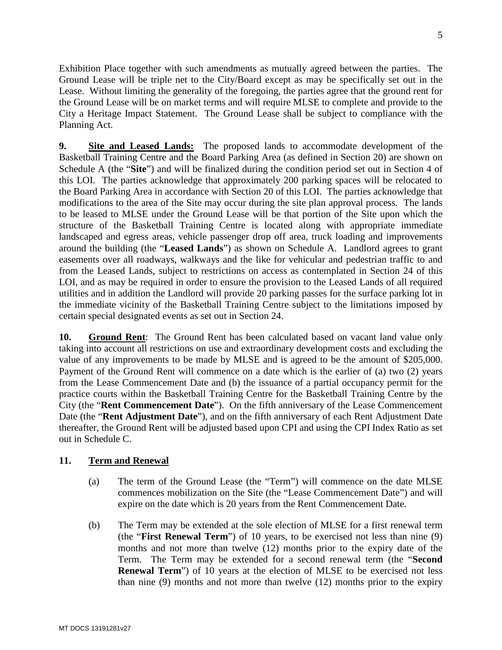Exhibition Place together with such amendments as mutually agreed between the parties. The Ground Lease will be triple net to the City/Board except as may be specifically set out in the Lease. Without limiting the generality of the foregoing, the parties agree that the ground rent for the Ground Lease will be on market terms and will require MLSE to complete and provide to the City a Heritage Impact Statement. The Ground Lease shall be subject to compliance with the Planning Act.

<span id="page-4-0"></span>**9. Site and Leased Lands:** The proposed lands to accommodate development of the Basketball Training Centre and the Board Parking Area (as defined in Section 20) are shown on [Schedule A](#page-15-0) (the "**Site**") and will be finalized during the condition period set out in Section [4](#page-1-1) of this LOI. The parties acknowledge that approximately 200 parking spaces will be relocated to the Board Parking Area in accordance with Section 20 of this LOI. The parties acknowledge that modifications to the area of the Site may occur during the site plan approval process. The lands to be leased to MLSE under the Ground Lease will be that portion of the Site upon which the structure of the Basketball Training Centre is located along with appropriate immediate landscaped and egress areas, vehicle passenger drop off area, truck loading and improvements around the building (the "**Leased Lands**") as shown on [Schedule A.](#page-15-0) Landlord agrees to grant easements over all roadways, walkways and the like for vehicular and pedestrian traffic to and from the Leased Lands, subject to restrictions on access as contemplated in Section 24 of this LOI, and as may be required in order to ensure the provision to the Leased Lands of all required utilities and in addition the Landlord will provide 20 parking passes for the surface parking lot in the immediate vicinity of the Basketball Training Centre subject to the limitations imposed by certain special designated events as set out in Section 24.

**10. Ground Rent**: The Ground Rent has been calculated based on vacant land value only taking into account all restrictions on use and extraordinary development costs and excluding the value of any improvements to be made by MLSE and is agreed to be the amount of \$205,000. Payment of the Ground Rent will commence on a date which is the earlier of (a) two (2) years from the Lease Commencement Date and (b) the issuance of a partial occupancy permit for the practice courts within the Basketball Training Centre for the Basketball Training Centre by the City (the "**Rent Commencement Date**"). On the fifth anniversary of the Lease Commencement Date (the "**Rent Adjustment Date**"), and on the fifth anniversary of each Rent Adjustment Date thereafter, the Ground Rent will be adjusted based upon CPI and using the CPI Index Ratio as set out in [Schedule C.](#page-23-0)

### **11. Term and Renewal**

- (a) The term of the Ground Lease (the "Term") will commence on the date MLSE commences mobilization on the Site (the "Lease Commencement Date") and will expire on the date which is 20 years from the Rent Commencement Date.
- (b) The Term may be extended at the sole election of MLSE for a first renewal term (the "**First Renewal Term**") of 10 years, to be exercised not less than nine (9) months and not more than twelve (12) months prior to the expiry date of the Term. The Term may be extended for a second renewal term (the "**Second Renewal Term**") of 10 years at the election of MLSE to be exercised not less than nine (9) months and not more than twelve (12) months prior to the expiry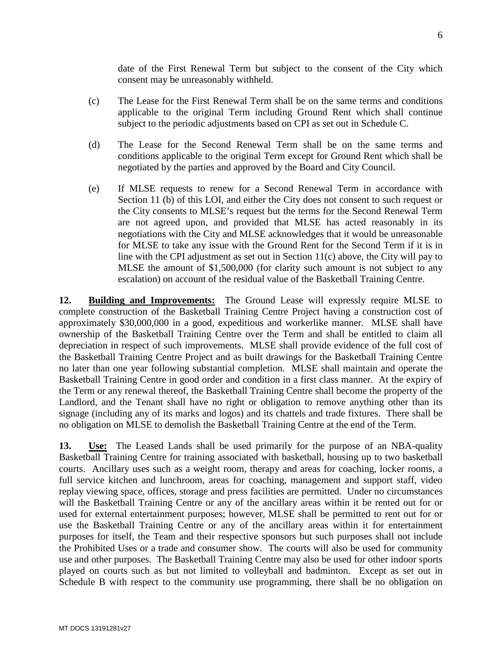date of the First Renewal Term but subject to the consent of the City which consent may be unreasonably withheld.

- (c) The Lease for the First Renewal Term shall be on the same terms and conditions applicable to the original Term including Ground Rent which shall continue subject to the periodic adjustments based on CPI as set out in [Schedule C.](#page-23-0)
- (d) The Lease for the Second Renewal Term shall be on the same terms and conditions applicable to the original Term except for Ground Rent which shall be negotiated by the parties and approved by the Board and City Council.
- (e) If MLSE requests to renew for a Second Renewal Term in accordance with Section 11 (b) of this LOI, and either the City does not consent to such request or the City consents to MLSE's request but the terms for the Second Renewal Term are not agreed upon, and provided that MLSE has acted reasonably in its negotiations with the City and MLSE acknowledges that it would be unreasonable for MLSE to take any issue with the Ground Rent for the Second Term if it is in line with the CPI adjustment as set out in Section 11(c) above, the City will pay to MLSE the amount of \$1,500,000 (for clarity such amount is not subject to any escalation) on account of the residual value of the Basketball Training Centre.

**12. Building and Improvements:** The Ground Lease will expressly require MLSE to complete construction of the Basketball Training Centre Project having a construction cost of approximately \$30,000,000 in a good, expeditious and workerlike manner. MLSE shall have ownership of the Basketball Training Centre over the Term and shall be entitled to claim all depreciation in respect of such improvements. MLSE shall provide evidence of the full cost of the Basketball Training Centre Project and as built drawings for the Basketball Training Centre no later than one year following substantial completion. MLSE shall maintain and operate the Basketball Training Centre in good order and condition in a first class manner. At the expiry of the Term or any renewal thereof, the Basketball Training Centre shall become the property of the Landlord, and the Tenant shall have no right or obligation to remove anything other than its signage (including any of its marks and logos) and its chattels and trade fixtures. There shall be no obligation on MLSE to demolish the Basketball Training Centre at the end of the Term.

**13. Use:** The Leased Lands shall be used primarily for the purpose of an NBA-quality Basketball Training Centre for training associated with basketball, housing up to two basketball courts. Ancillary uses such as a weight room, therapy and areas for coaching, locker rooms, a full service kitchen and lunchroom, areas for coaching, management and support staff, video replay viewing space, offices, storage and press facilities are permitted. Under no circumstances will the Basketball Training Centre or any of the ancillary areas within it be rented out for or used for external entertainment purposes; however, MLSE shall be permitted to rent out for or use the Basketball Training Centre or any of the ancillary areas within it for entertainment purposes for itself, the Team and their respective sponsors but such purposes shall not include the Prohibited Uses or a trade and consumer show. The courts will also be used for community use and other purposes. The Basketball Training Centre may also be used for other indoor sports played on courts such as but not limited to volleyball and badminton. Except as set out in [Schedule B](#page-16-0) with respect to the community use programming, there shall be no obligation on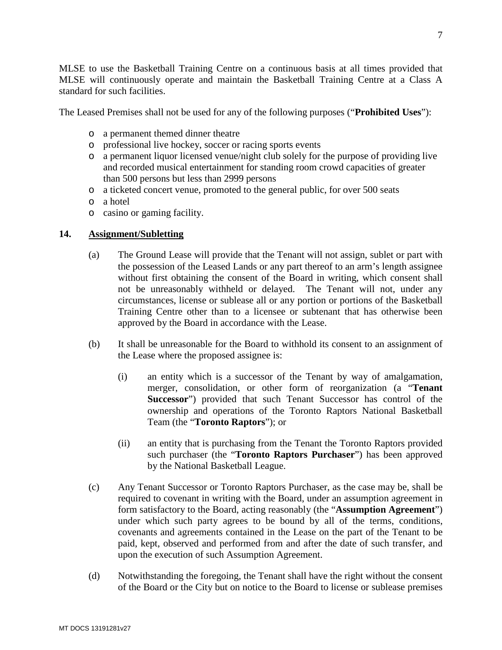MLSE to use the Basketball Training Centre on a continuous basis at all times provided that MLSE will continuously operate and maintain the Basketball Training Centre at a Class A standard for such facilities.

The Leased Premises shall not be used for any of the following purposes ("**Prohibited Uses**"):

- o a permanent themed dinner theatre
- o professional live hockey, soccer or racing sports events
- o a permanent liquor licensed venue/night club solely for the purpose of providing live and recorded musical entertainment for standing room crowd capacities of greater than 500 persons but less than 2999 persons
- o a ticketed concert venue, promoted to the general public, for over 500 seats
- o a hotel
- o casino or gaming facility.

### **14. Assignment/Subletting**

- (a) The Ground Lease will provide that the Tenant will not assign, sublet or part with the possession of the Leased Lands or any part thereof to an arm's length assignee without first obtaining the consent of the Board in writing, which consent shall not be unreasonably withheld or delayed. The Tenant will not, under any circumstances, license or sublease all or any portion or portions of the Basketball Training Centre other than to a licensee or subtenant that has otherwise been approved by the Board in accordance with the Lease.
- (b) It shall be unreasonable for the Board to withhold its consent to an assignment of the Lease where the proposed assignee is:
	- (i) an entity which is a successor of the Tenant by way of amalgamation, merger, consolidation, or other form of reorganization (a "**Tenant Successor**") provided that such Tenant Successor has control of the ownership and operations of the Toronto Raptors National Basketball Team (the "**Toronto Raptors**"); or
	- (ii) an entity that is purchasing from the Tenant the Toronto Raptors provided such purchaser (the "**Toronto Raptors Purchaser**") has been approved by the National Basketball League.
- (c) Any Tenant Successor or Toronto Raptors Purchaser, as the case may be, shall be required to covenant in writing with the Board, under an assumption agreement in form satisfactory to the Board, acting reasonably (the "**Assumption Agreement**") under which such party agrees to be bound by all of the terms, conditions, covenants and agreements contained in the Lease on the part of the Tenant to be paid, kept, observed and performed from and after the date of such transfer, and upon the execution of such Assumption Agreement.
- (d) Notwithstanding the foregoing, the Tenant shall have the right without the consent of the Board or the City but on notice to the Board to license or sublease premises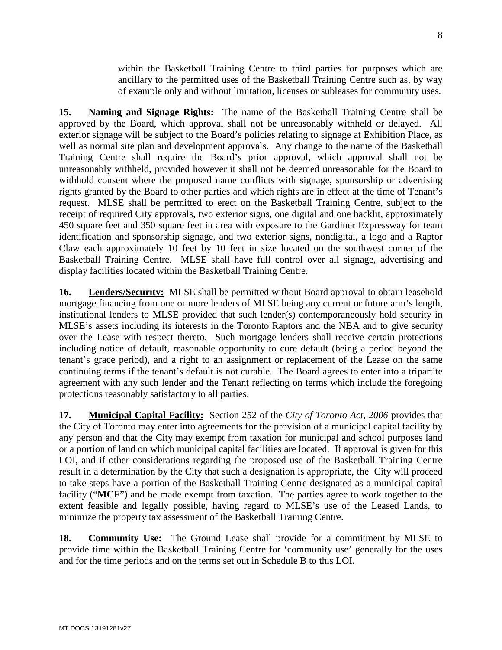within the Basketball Training Centre to third parties for purposes which are ancillary to the permitted uses of the Basketball Training Centre such as, by way of example only and without limitation, licenses or subleases for community uses.

**15. Naming and Signage Rights:** The name of the Basketball Training Centre shall be approved by the Board, which approval shall not be unreasonably withheld or delayed. All exterior signage will be subject to the Board's policies relating to signage at Exhibition Place, as well as normal site plan and development approvals. Any change to the name of the Basketball Training Centre shall require the Board's prior approval, which approval shall not be unreasonably withheld, provided however it shall not be deemed unreasonable for the Board to withhold consent where the proposed name conflicts with signage, sponsorship or advertising rights granted by the Board to other parties and which rights are in effect at the time of Tenant's request. MLSE shall be permitted to erect on the Basketball Training Centre, subject to the receipt of required City approvals, two exterior signs, one digital and one backlit, approximately 450 square feet and 350 square feet in area with exposure to the Gardiner Expressway for team identification and sponsorship signage, and two exterior signs, nondigital, a logo and a Raptor Claw each approximately 10 feet by 10 feet in size located on the southwest corner of the Basketball Training Centre. MLSE shall have full control over all signage, advertising and display facilities located within the Basketball Training Centre.

**16. Lenders/Security:** MLSE shall be permitted without Board approval to obtain leasehold mortgage financing from one or more lenders of MLSE being any current or future arm's length, institutional lenders to MLSE provided that such lender(s) contemporaneously hold security in MLSE's assets including its interests in the Toronto Raptors and the NBA and to give security over the Lease with respect thereto. Such mortgage lenders shall receive certain protections including notice of default, reasonable opportunity to cure default (being a period beyond the tenant's grace period), and a right to an assignment or replacement of the Lease on the same continuing terms if the tenant's default is not curable. The Board agrees to enter into a tripartite agreement with any such lender and the Tenant reflecting on terms which include the foregoing protections reasonably satisfactory to all parties.

**17. Municipal Capital Facility:** Section 252 of the *City of Toronto Act, 2006* provides that the City of Toronto may enter into agreements for the provision of a municipal capital facility by any person and that the City may exempt from taxation for municipal and school purposes land or a portion of land on which municipal capital facilities are located. If approval is given for this LOI, and if other considerations regarding the proposed use of the Basketball Training Centre result in a determination by the City that such a designation is appropriate, the City will proceed to take steps have a portion of the Basketball Training Centre designated as a municipal capital facility ("**MCF**") and be made exempt from taxation. The parties agree to work together to the extent feasible and legally possible, having regard to MLSE's use of the Leased Lands, to minimize the property tax assessment of the Basketball Training Centre.

**18. Community Use:** The Ground Lease shall provide for a commitment by MLSE to provide time within the Basketball Training Centre for 'community use' generally for the uses and for the time periods and on the terms set out in [Schedule B](#page-16-0) to this LOI.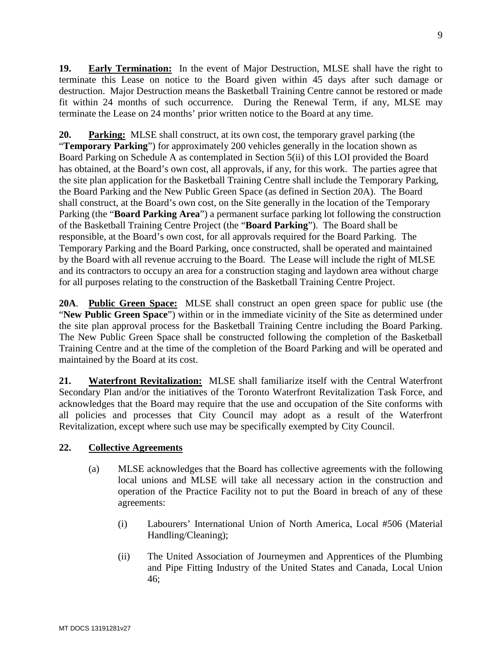**19. Early Termination:** In the event of Major Destruction, MLSE shall have the right to terminate this Lease on notice to the Board given within 45 days after such damage or destruction. Major Destruction means the Basketball Training Centre cannot be restored or made fit within 24 months of such occurrence. During the Renewal Term, if any, MLSE may terminate the Lease on 24 months' prior written notice to the Board at any time.

**20. Parking:** MLSE shall construct, at its own cost, the temporary gravel parking (the "**Temporary Parking**") for approximately 200 vehicles generally in the location shown as Board Parking on [Schedule A](#page-15-0) as contemplated in Section [5\(ii\)](#page-2-0) of this LOI provided the Board has obtained, at the Board's own cost, all approvals, if any, for this work. The parties agree that the site plan application for the Basketball Training Centre shall include the Temporary Parking, the Board Parking and the New Public Green Space (as defined in Section 20A). The Board shall construct, at the Board's own cost, on the Site generally in the location of the Temporary Parking (the "**Board Parking Area**") a permanent surface parking lot following the construction of the Basketball Training Centre Project (the "**Board Parking**"). The Board shall be responsible, at the Board's own cost, for all approvals required for the Board Parking. The Temporary Parking and the Board Parking, once constructed, shall be operated and maintained by the Board with all revenue accruing to the Board. The Lease will include the right of MLSE and its contractors to occupy an area for a construction staging and laydown area without charge for all purposes relating to the construction of the Basketball Training Centre Project.

**20A**. **Public Green Space:** MLSE shall construct an open green space for public use (the "**New Public Green Space**") within or in the immediate vicinity of the Site as determined under the site plan approval process for the Basketball Training Centre including the Board Parking. The New Public Green Space shall be constructed following the completion of the Basketball Training Centre and at the time of the completion of the Board Parking and will be operated and maintained by the Board at its cost.

**21. Waterfront Revitalization:** MLSE shall familiarize itself with the Central Waterfront Secondary Plan and/or the initiatives of the Toronto Waterfront Revitalization Task Force, and acknowledges that the Board may require that the use and occupation of the Site conforms with all policies and processes that City Council may adopt as a result of the Waterfront Revitalization, except where such use may be specifically exempted by City Council.

### <span id="page-8-0"></span>**22. Collective Agreements**

- (a) MLSE acknowledges that the Board has collective agreements with the following local unions and MLSE will take all necessary action in the construction and operation of the Practice Facility not to put the Board in breach of any of these agreements:
	- (i) Labourers' International Union of North America, Local #506 (Material Handling/Cleaning);
	- (ii) The United Association of Journeymen and Apprentices of the Plumbing and Pipe Fitting Industry of the United States and Canada, Local Union 46;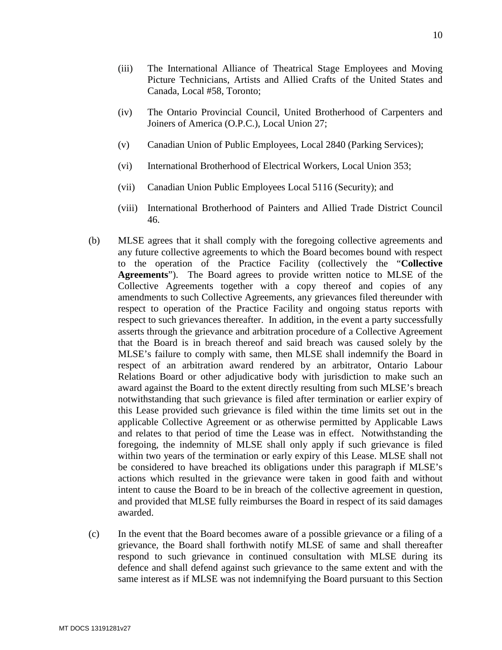- (iii) The International Alliance of Theatrical Stage Employees and Moving Picture Technicians, Artists and Allied Crafts of the United States and Canada, Local #58, Toronto;
- (iv) The Ontario Provincial Council, United Brotherhood of Carpenters and Joiners of America (O.P.C.), Local Union 27;
- (v) Canadian Union of Public Employees, Local 2840 (Parking Services);
- (vi) International Brotherhood of Electrical Workers, Local Union 353;
- (vii) Canadian Union Public Employees Local 5116 (Security); and
- (viii) International Brotherhood of Painters and Allied Trade District Council 46.
- (b) MLSE agrees that it shall comply with the foregoing collective agreements and any future collective agreements to which the Board becomes bound with respect to the operation of the Practice Facility (collectively the "**Collective Agreements**"). The Board agrees to provide written notice to MLSE of the Collective Agreements together with a copy thereof and copies of any amendments to such Collective Agreements, any grievances filed thereunder with respect to operation of the Practice Facility and ongoing status reports with respect to such grievances thereafter. In addition, in the event a party successfully asserts through the grievance and arbitration procedure of a Collective Agreement that the Board is in breach thereof and said breach was caused solely by the MLSE's failure to comply with same, then MLSE shall indemnify the Board in respect of an arbitration award rendered by an arbitrator, Ontario Labour Relations Board or other adjudicative body with jurisdiction to make such an award against the Board to the extent directly resulting from such MLSE's breach notwithstanding that such grievance is filed after termination or earlier expiry of this Lease provided such grievance is filed within the time limits set out in the applicable Collective Agreement or as otherwise permitted by Applicable Laws and relates to that period of time the Lease was in effect. Notwithstanding the foregoing, the indemnity of MLSE shall only apply if such grievance is filed within two years of the termination or early expiry of this Lease. MLSE shall not be considered to have breached its obligations under this paragraph if MLSE's actions which resulted in the grievance were taken in good faith and without intent to cause the Board to be in breach of the collective agreement in question, and provided that MLSE fully reimburses the Board in respect of its said damages awarded.
- (c) In the event that the Board becomes aware of a possible grievance or a filing of a grievance, the Board shall forthwith notify MLSE of same and shall thereafter respond to such grievance in continued consultation with MLSE during its defence and shall defend against such grievance to the same extent and with the same interest as if MLSE was not indemnifying the Board pursuant to this Section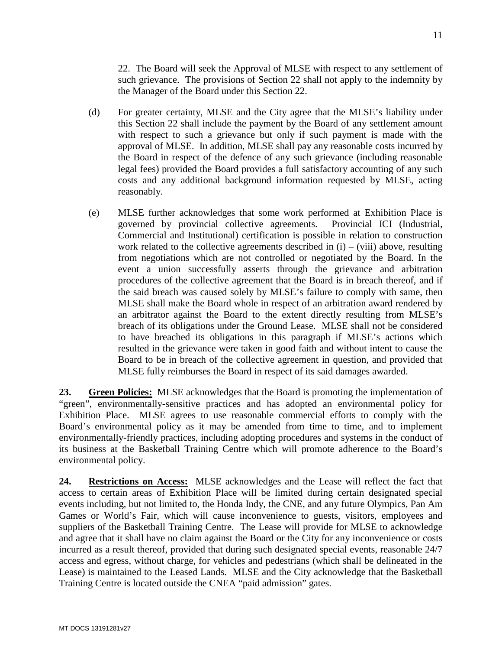[22.](#page-8-0) The Board will seek the Approval of MLSE with respect to any settlement of such grievance. The provisions of Section [22](#page-8-0) shall not apply to the indemnity by the Manager of the Board under this Section [22.](#page-8-0)

- (d) For greater certainty, MLSE and the City agree that the MLSE's liability under this Section [22](#page-8-0) shall include the payment by the Board of any settlement amount with respect to such a grievance but only if such payment is made with the approval of MLSE. In addition, MLSE shall pay any reasonable costs incurred by the Board in respect of the defence of any such grievance (including reasonable legal fees) provided the Board provides a full satisfactory accounting of any such costs and any additional background information requested by MLSE, acting reasonably.
- (e) MLSE further acknowledges that some work performed at Exhibition Place is governed by provincial collective agreements. Provincial ICI (Industrial, Commercial and Institutional) certification is possible in relation to construction work related to the collective agreements described in  $(i) - (viii)$  above, resulting from negotiations which are not controlled or negotiated by the Board. In the event a union successfully asserts through the grievance and arbitration procedures of the collective agreement that the Board is in breach thereof, and if the said breach was caused solely by MLSE's failure to comply with same, then MLSE shall make the Board whole in respect of an arbitration award rendered by an arbitrator against the Board to the extent directly resulting from MLSE's breach of its obligations under the Ground Lease. MLSE shall not be considered to have breached its obligations in this paragraph if MLSE's actions which resulted in the grievance were taken in good faith and without intent to cause the Board to be in breach of the collective agreement in question, and provided that MLSE fully reimburses the Board in respect of its said damages awarded.

**23. Green Policies:** MLSE acknowledges that the Board is promoting the implementation of "green", environmentally-sensitive practices and has adopted an environmental policy for Exhibition Place. MLSE agrees to use reasonable commercial efforts to comply with the Board's environmental policy as it may be amended from time to time, and to implement environmentally-friendly practices, including adopting procedures and systems in the conduct of its business at the Basketball Training Centre which will promote adherence to the Board's environmental policy.

**24. Restrictions on Access:** MLSE acknowledges and the Lease will reflect the fact that access to certain areas of Exhibition Place will be limited during certain designated special events including, but not limited to, the Honda Indy, the CNE, and any future Olympics, Pan Am Games or World's Fair, which will cause inconvenience to guests, visitors, employees and suppliers of the Basketball Training Centre. The Lease will provide for MLSE to acknowledge and agree that it shall have no claim against the Board or the City for any inconvenience or costs incurred as a result thereof, provided that during such designated special events, reasonable 24/7 access and egress, without charge, for vehicles and pedestrians (which shall be delineated in the Lease) is maintained to the Leased Lands. MLSE and the City acknowledge that the Basketball Training Centre is located outside the CNEA "paid admission" gates.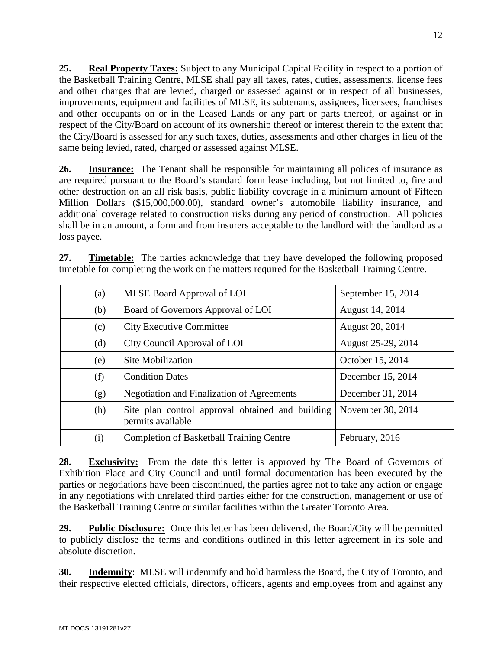**25. Real Property Taxes:** Subject to any Municipal Capital Facility in respect to a portion of the Basketball Training Centre, MLSE shall pay all taxes, rates, duties, assessments, license fees and other charges that are levied, charged or assessed against or in respect of all businesses, improvements, equipment and facilities of MLSE, its subtenants, assignees, licensees, franchises and other occupants on or in the Leased Lands or any part or parts thereof, or against or in respect of the City/Board on account of its ownership thereof or interest therein to the extent that the City/Board is assessed for any such taxes, duties, assessments and other charges in lieu of the same being levied, rated, charged or assessed against MLSE.

**26. Insurance:** The Tenant shall be responsible for maintaining all polices of insurance as are required pursuant to the Board's standard form lease including, but not limited to, fire and other destruction on an all risk basis, public liability coverage in a minimum amount of Fifteen Million Dollars (\$15,000,000.00), standard owner's automobile liability insurance, and additional coverage related to construction risks during any period of construction. All policies shall be in an amount, a form and from insurers acceptable to the landlord with the landlord as a loss payee.

**27. Timetable:** The parties acknowledge that they have developed the following proposed timetable for completing the work on the matters required for the Basketball Training Centre.

| (a) | MLSE Board Approval of LOI                                            | September 15, 2014 |
|-----|-----------------------------------------------------------------------|--------------------|
| (b) | Board of Governors Approval of LOI                                    | August 14, 2014    |
| (c) | <b>City Executive Committee</b>                                       | August 20, 2014    |
| (d) | City Council Approval of LOI                                          | August 25-29, 2014 |
| (e) | Site Mobilization                                                     | October 15, 2014   |
| (f) | <b>Condition Dates</b>                                                | December 15, 2014  |
| (g) | <b>Negotiation and Finalization of Agreements</b>                     | December 31, 2014  |
| (h) | Site plan control approval obtained and building<br>permits available | November 30, 2014  |
| (i) | <b>Completion of Basketball Training Centre</b>                       | February, 2016     |

**28. Exclusivity:** From the date this letter is approved by The Board of Governors of Exhibition Place and City Council and until formal documentation has been executed by the parties or negotiations have been discontinued, the parties agree not to take any action or engage in any negotiations with unrelated third parties either for the construction, management or use of the Basketball Training Centre or similar facilities within the Greater Toronto Area.

**29. Public Disclosure:** Once this letter has been delivered, the Board/City will be permitted to publicly disclose the terms and conditions outlined in this letter agreement in its sole and absolute discretion.

**30. Indemnity**: MLSE will indemnify and hold harmless the Board, the City of Toronto, and their respective elected officials, directors, officers, agents and employees from and against any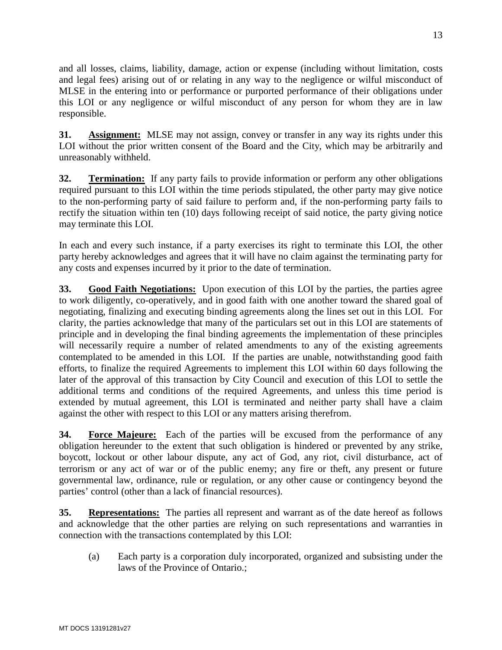and all losses, claims, liability, damage, action or expense (including without limitation, costs and legal fees) arising out of or relating in any way to the negligence or wilful misconduct of MLSE in the entering into or performance or purported performance of their obligations under this LOI or any negligence or wilful misconduct of any person for whom they are in law responsible.

**31. Assignment:** MLSE may not assign, convey or transfer in any way its rights under this LOI without the prior written consent of the Board and the City, which may be arbitrarily and unreasonably withheld.

**32. Termination:** If any party fails to provide information or perform any other obligations required pursuant to this LOI within the time periods stipulated, the other party may give notice to the non-performing party of said failure to perform and, if the non-performing party fails to rectify the situation within ten (10) days following receipt of said notice, the party giving notice may terminate this LOI.

In each and every such instance, if a party exercises its right to terminate this LOI, the other party hereby acknowledges and agrees that it will have no claim against the terminating party for any costs and expenses incurred by it prior to the date of termination.

**33. Good Faith Negotiations:** Upon execution of this LOI by the parties, the parties agree to work diligently, co-operatively, and in good faith with one another toward the shared goal of negotiating, finalizing and executing binding agreements along the lines set out in this LOI. For clarity, the parties acknowledge that many of the particulars set out in this LOI are statements of principle and in developing the final binding agreements the implementation of these principles will necessarily require a number of related amendments to any of the existing agreements contemplated to be amended in this LOI. If the parties are unable, notwithstanding good faith efforts, to finalize the required Agreements to implement this LOI within 60 days following the later of the approval of this transaction by City Council and execution of this LOI to settle the additional terms and conditions of the required Agreements, and unless this time period is extended by mutual agreement, this LOI is terminated and neither party shall have a claim against the other with respect to this LOI or any matters arising therefrom.

**34. Force Majeure:** Each of the parties will be excused from the performance of any obligation hereunder to the extent that such obligation is hindered or prevented by any strike, boycott, lockout or other labour dispute, any act of God, any riot, civil disturbance, act of terrorism or any act of war or of the public enemy; any fire or theft, any present or future governmental law, ordinance, rule or regulation, or any other cause or contingency beyond the parties' control (other than a lack of financial resources).

**35. Representations:** The parties all represent and warrant as of the date hereof as follows and acknowledge that the other parties are relying on such representations and warranties in connection with the transactions contemplated by this LOI:

(a) Each party is a corporation duly incorporated, organized and subsisting under the laws of the Province of Ontario.;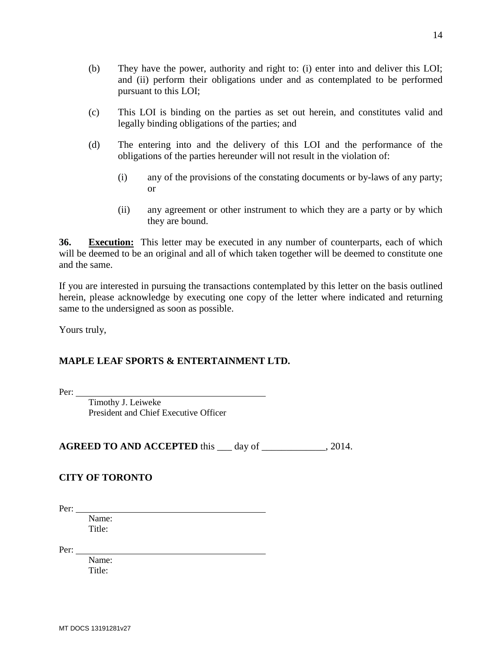- (b) They have the power, authority and right to: (i) enter into and deliver this LOI; and (ii) perform their obligations under and as contemplated to be performed pursuant to this LOI;
- (c) This LOI is binding on the parties as set out herein, and constitutes valid and legally binding obligations of the parties; and
- (d) The entering into and the delivery of this LOI and the performance of the obligations of the parties hereunder will not result in the violation of:
	- (i) any of the provisions of the constating documents or by-laws of any party; or
	- (ii) any agreement or other instrument to which they are a party or by which they are bound.

**36. Execution:** This letter may be executed in any number of counterparts, each of which will be deemed to be an original and all of which taken together will be deemed to constitute one and the same.

If you are interested in pursuing the transactions contemplated by this letter on the basis outlined herein, please acknowledge by executing one copy of the letter where indicated and returning same to the undersigned as soon as possible.

Yours truly,

## **MAPLE LEAF SPORTS & ENTERTAINMENT LTD.**

Per:

Timothy J. Leiweke President and Chief Executive Officer

**AGREED TO AND ACCEPTED** this 1 day of 2014.

## **CITY OF TORONTO**

Per:

Name: Title<sup>.</sup>

Per:

Name: Title: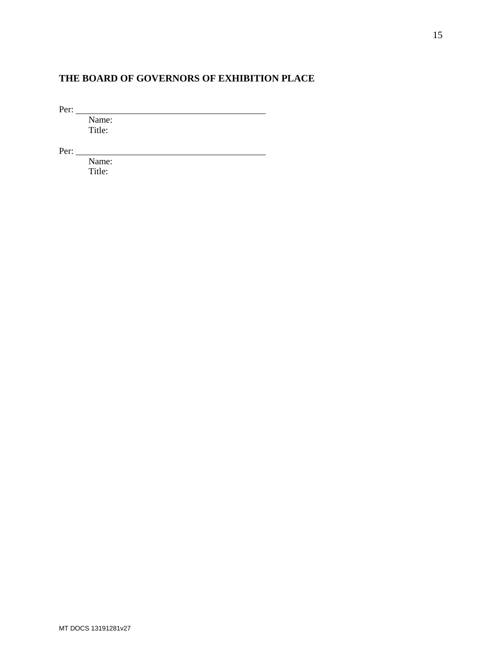# **THE BOARD OF GOVERNORS OF EXHIBITION PLACE**

Per:

Name: Title:

Per:

Name: Title: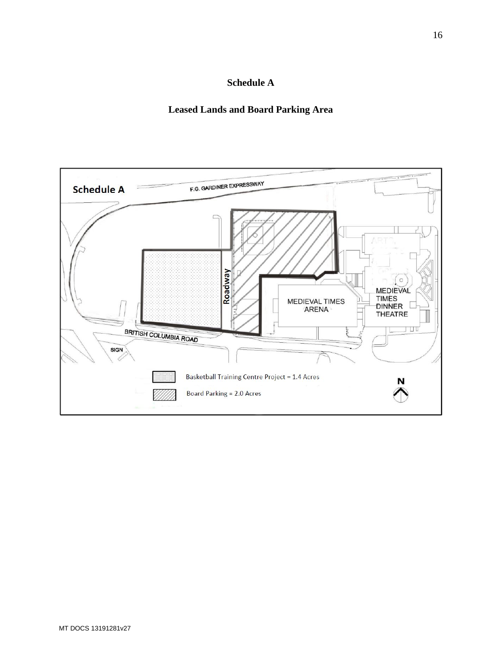# **Schedule A**

## **Leased Lands and Board Parking Area**

<span id="page-15-0"></span>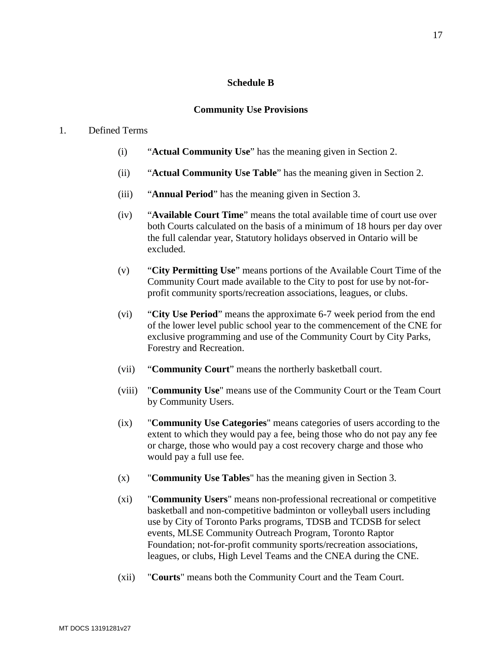## **Schedule B**

## **Community Use Provisions**

## <span id="page-16-0"></span>1. Defined Terms

- (i) "**Actual Community Use**" has the meaning given in Section 2.
- (ii) "**Actual Community Use Table**" has the meaning given in Section 2.
- (iii) "**Annual Period**" has the meaning given in Section 3.
- (iv) "**Available Court Time**" means the total available time of court use over both Courts calculated on the basis of a minimum of 18 hours per day over the full calendar year, Statutory holidays observed in Ontario will be excluded.
- (v) "**City Permitting Use**" means portions of the Available Court Time of the Community Court made available to the City to post for use by not-forprofit community sports/recreation associations, leagues, or clubs.
- (vi) "**City Use Period**" means the approximate 6-7 week period from the end of the lower level public school year to the commencement of the CNE for exclusive programming and use of the Community Court by City Parks, Forestry and Recreation.
- (vii) "**Community Court**" means the northerly basketball court.
- (viii) "**Community Use**" means use of the Community Court or the Team Court by Community Users.
- (ix) "**Community Use Categories**" means categories of users according to the extent to which they would pay a fee, being those who do not pay any fee or charge, those who would pay a cost recovery charge and those who would pay a full use fee.
- (x) "**Community Use Tables**" has the meaning given in Section 3.
- (xi) "**Community Users**" means non-professional recreational or competitive basketball and non-competitive badminton or volleyball users including use by City of Toronto Parks programs, TDSB and TCDSB for select events, MLSE Community Outreach Program, Toronto Raptor Foundation; not-for-profit community sports/recreation associations, leagues, or clubs, High Level Teams and the CNEA during the CNE.
- (xii) "**Courts**" means both the Community Court and the Team Court.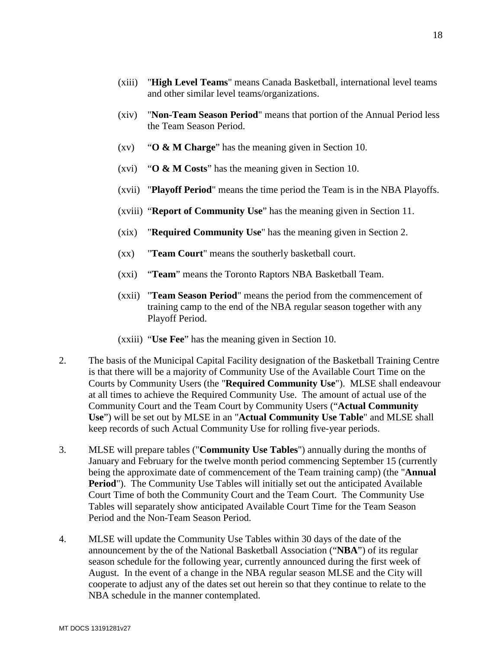- (xiii) "**High Level Teams**" means Canada Basketball, international level teams and other similar level teams/organizations.
- (xiv) "**Non-Team Season Period**" means that portion of the Annual Period less the Team Season Period.
- (xv) "**O & M Charge**" has the meaning given in Section 10.
- (xvi) "**O & M Costs**" has the meaning given in Section 10.
- (xvii) "**Playoff Period**" means the time period the Team is in the NBA Playoffs.
- (xviii) "**Report of Community Use**" has the meaning given in Section 11.
- (xix) "**Required Community Use**" has the meaning given in Section 2.
- (xx) "**Team Court**" means the southerly basketball court.
- (xxi) "**Team**" means the Toronto Raptors NBA Basketball Team.
- (xxii) "**Team Season Period**" means the period from the commencement of training camp to the end of the NBA regular season together with any Playoff Period.
- (xxiii) "**Use Fee**" has the meaning given in Section 10.
- 2. The basis of the Municipal Capital Facility designation of the Basketball Training Centre is that there will be a majority of Community Use of the Available Court Time on the Courts by Community Users (the "**Required Community Use**"). MLSE shall endeavour at all times to achieve the Required Community Use. The amount of actual use of the Community Court and the Team Court by Community Users ("**Actual Community Use**") will be set out by MLSE in an "**Actual Community Use Table**" and MLSE shall keep records of such Actual Community Use for rolling five-year periods.
- 3. MLSE will prepare tables ("**Community Use Tables**") annually during the months of January and February for the twelve month period commencing September 15 (currently being the approximate date of commencement of the Team training camp) (the "**Annual Period**"). The Community Use Tables will initially set out the anticipated Available Court Time of both the Community Court and the Team Court. The Community Use Tables will separately show anticipated Available Court Time for the Team Season Period and the Non-Team Season Period.
- 4. MLSE will update the Community Use Tables within 30 days of the date of the announcement by the of the National Basketball Association ("**NBA**") of its regular season schedule for the following year, currently announced during the first week of August. In the event of a change in the NBA regular season MLSE and the City will cooperate to adjust any of the dates set out herein so that they continue to relate to the NBA schedule in the manner contemplated.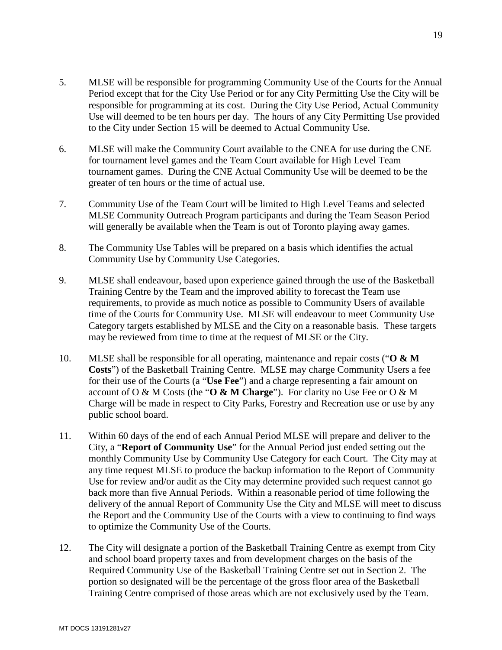- 5. MLSE will be responsible for programming Community Use of the Courts for the Annual Period except that for the City Use Period or for any City Permitting Use the City will be responsible for programming at its cost. During the City Use Period, Actual Community Use will deemed to be ten hours per day. The hours of any City Permitting Use provided to the City under Section 15 will be deemed to Actual Community Use.
- 6. MLSE will make the Community Court available to the CNEA for use during the CNE for tournament level games and the Team Court available for High Level Team tournament games. During the CNE Actual Community Use will be deemed to be the greater of ten hours or the time of actual use.
- 7. Community Use of the Team Court will be limited to High Level Teams and selected MLSE Community Outreach Program participants and during the Team Season Period will generally be available when the Team is out of Toronto playing away games.
- 8. The Community Use Tables will be prepared on a basis which identifies the actual Community Use by Community Use Categories.
- 9. MLSE shall endeavour, based upon experience gained through the use of the Basketball Training Centre by the Team and the improved ability to forecast the Team use requirements, to provide as much notice as possible to Community Users of available time of the Courts for Community Use. MLSE will endeavour to meet Community Use Category targets established by MLSE and the City on a reasonable basis. These targets may be reviewed from time to time at the request of MLSE or the City.
- 10. MLSE shall be responsible for all operating, maintenance and repair costs ("**O & M Costs**") of the Basketball Training Centre. MLSE may charge Community Users a fee for their use of the Courts (a "**Use Fee**") and a charge representing a fair amount on account of O & M Costs (the "**O & M Charge**"). For clarity no Use Fee or O & M Charge will be made in respect to City Parks, Forestry and Recreation use or use by any public school board.
- 11. Within 60 days of the end of each Annual Period MLSE will prepare and deliver to the City, a "**Report of Community Use**" for the Annual Period just ended setting out the monthly Community Use by Community Use Category for each Court. The City may at any time request MLSE to produce the backup information to the Report of Community Use for review and/or audit as the City may determine provided such request cannot go back more than five Annual Periods. Within a reasonable period of time following the delivery of the annual Report of Community Use the City and MLSE will meet to discuss the Report and the Community Use of the Courts with a view to continuing to find ways to optimize the Community Use of the Courts.
- 12. The City will designate a portion of the Basketball Training Centre as exempt from City and school board property taxes and from development charges on the basis of the Required Community Use of the Basketball Training Centre set out in Section 2. The portion so designated will be the percentage of the gross floor area of the Basketball Training Centre comprised of those areas which are not exclusively used by the Team.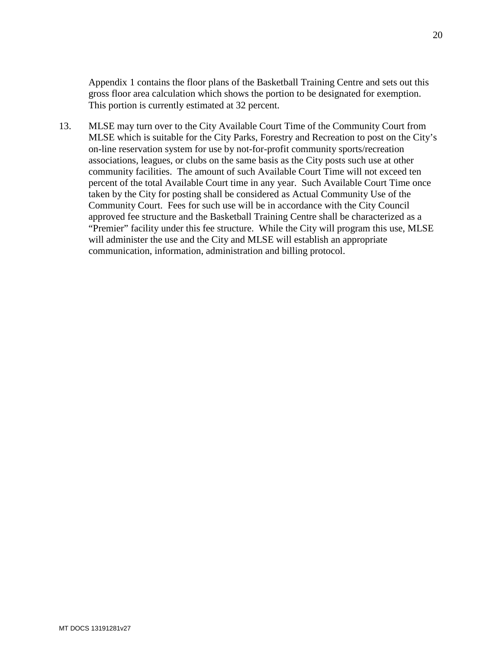Appendix 1 contains the floor plans of the Basketball Training Centre and sets out this gross floor area calculation which shows the portion to be designated for exemption. This portion is currently estimated at 32 percent.

13. MLSE may turn over to the City Available Court Time of the Community Court from MLSE which is suitable for the City Parks, Forestry and Recreation to post on the City's on-line reservation system for use by not-for-profit community sports/recreation associations, leagues, or clubs on the same basis as the City posts such use at other community facilities. The amount of such Available Court Time will not exceed ten percent of the total Available Court time in any year. Such Available Court Time once taken by the City for posting shall be considered as Actual Community Use of the Community Court. Fees for such use will be in accordance with the City Council approved fee structure and the Basketball Training Centre shall be characterized as a "Premier" facility under this fee structure. While the City will program this use, MLSE will administer the use and the City and MLSE will establish an appropriate communication, information, administration and billing protocol.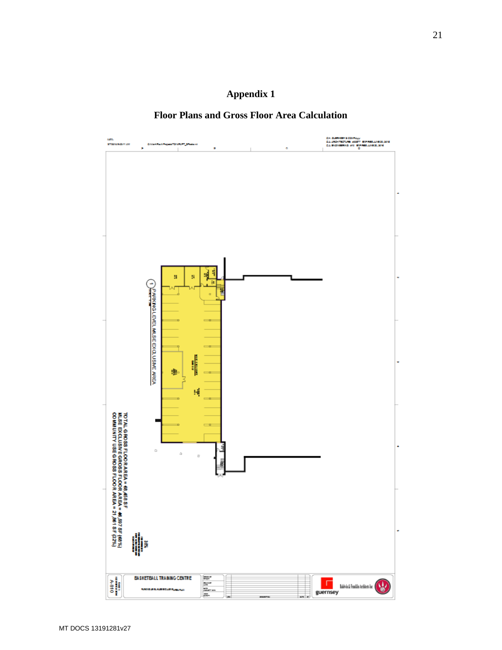

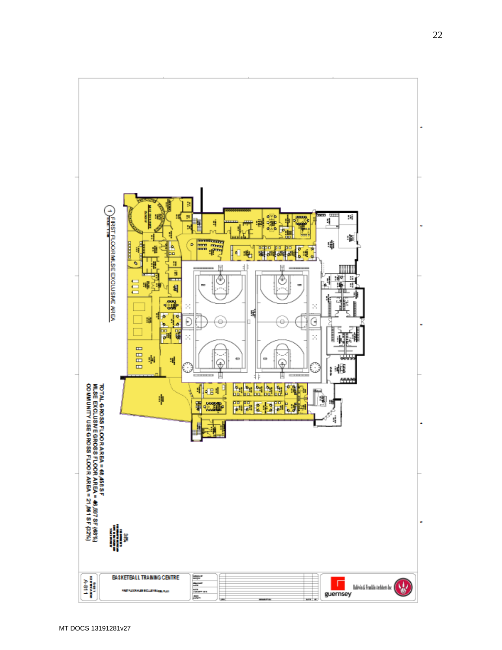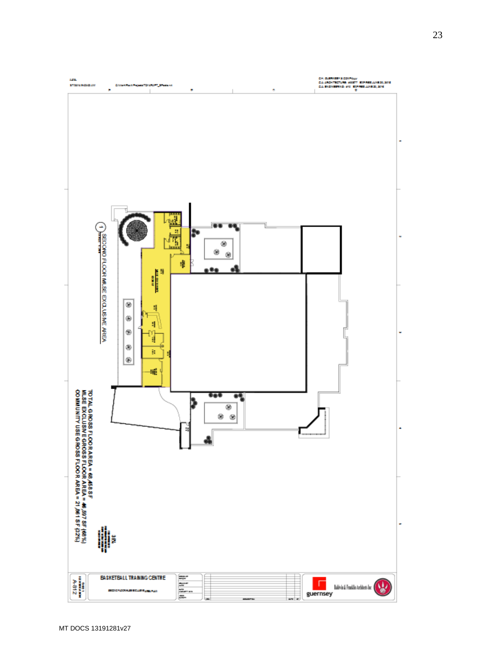